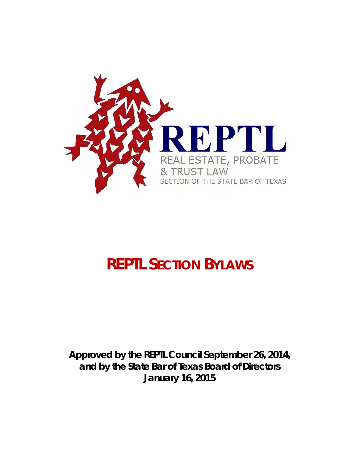

# **REPTL SECTION BYLAWS**

**Approved by the REPTL Council September 26, 2014, and by the State Bar of Texas Board of Directors January 16, 2015**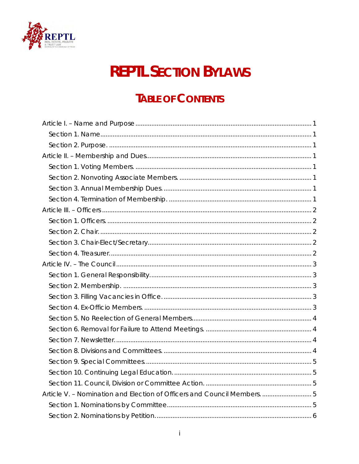

# **REPTL SECTION BYLAWS**

# **TABLE OF CONTENTS**

| Article V. - Nomination and Election of Officers and Council Members.  5 |  |
|--------------------------------------------------------------------------|--|
|                                                                          |  |
|                                                                          |  |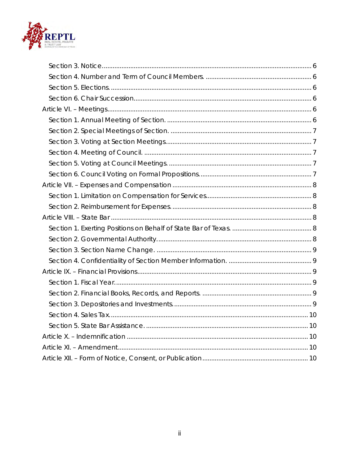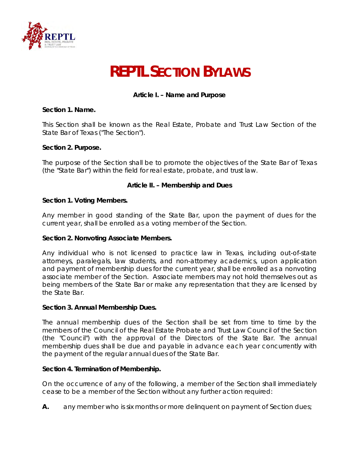

# **REPTL SECTION BYLAWS**

# **Article I. – Name and Purpose**

#### <span id="page-3-1"></span><span id="page-3-0"></span>**Section 1. Name.**

This Section shall be known as the Real Estate, Probate and Trust Law Section of the State Bar of Texas ("The Section").

#### <span id="page-3-2"></span>**Section 2. Purpose.**

The purpose of the Section shall be to promote the objectives of the State Bar of Texas (the "State Bar") within the field for real estate, probate, and trust law.

#### **Article II. – Membership and Dues**

#### <span id="page-3-4"></span><span id="page-3-3"></span>**Section 1. Voting Members.**

Any member in good standing of the State Bar, upon the payment of dues for the current year, shall be enrolled as a voting member of the Section.

#### <span id="page-3-5"></span>**Section 2. Nonvoting Associate Members.**

Any individual who is not licensed to practice law in Texas, including out-of-state attorneys, paralegals, law students, and non-attorney academics, upon application and payment of membership dues for the current year, shall be enrolled as a nonvoting associate member of the Section. Associate members may not hold themselves out as being members of the State Bar or make any representation that they are licensed by the State Bar.

#### <span id="page-3-6"></span>**Section 3. Annual Membership Dues.**

The annual membership dues of the Section shall be set from time to time by the members of the Council of the Real Estate Probate and Trust Law Council of the Section (the "Council") with the approval of the Directors of the State Bar. The annual membership dues shall be due and payable in advance each year concurrently with the payment of the regular annual dues of the State Bar.

#### <span id="page-3-7"></span>**Section 4. Termination of Membership.**

On the occurrence of any of the following, a member of the Section shall immediately cease to be a member of the Section without any further action required:

**A.** any member who is six months or more delinguent on payment of Section dues;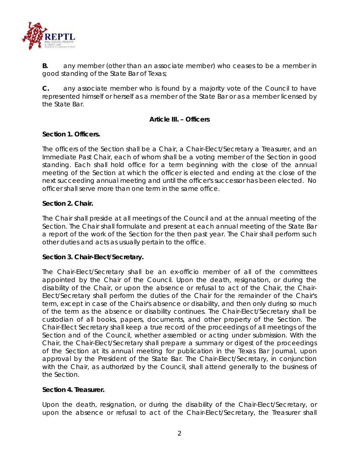

**B.** any member (other than an associate member) who ceases to be a member in good standing of the State Bar of Texas;

**C.** any associate member who is found by a majority vote of the Council to have represented himself or herself as a member of the State Bar or as a member licensed by the State Bar.

#### **Article III. – Officers**

# <span id="page-4-1"></span><span id="page-4-0"></span>**Section 1. Officers.**

The officers of the Section shall be a Chair, a Chair-Elect/Secretary a Treasurer, and an Immediate Past Chair, each of whom shall be a voting member of the Section in good standing. Each shall hold office for a term beginning with the close of the annual meeting of the Section at which the officer is elected and ending at the close of the next succeeding annual meeting and until the officer's successor has been elected. No officer shall serve more than one term in the same office.

# <span id="page-4-2"></span>**Section 2. Chair.**

The Chair shall preside at all meetings of the Council and at the annual meeting of the Section. The Chair shall formulate and present at each annual meeting of the State Bar a report of the work of the Section for the then past year. The Chair shall perform such other duties and acts as usually pertain to the office.

#### <span id="page-4-3"></span>**Section 3. Chair-Elect/Secretary.**

The Chair-Elect/Secretary shall be an ex-officio member of all of the committees appointed by the Chair of the Council. Upon the death, resignation, or during the disability of the Chair, or upon the absence or refusal to act of the Chair, the Chair-Elect/Secretary shall perform the duties of the Chair for the remainder of the Chair's term, except in case of the Chair's absence or disability, and then only during so much of the term as the absence or disability continues. The Chair-Elect/Secretary shall be custodian of all books, papers, documents, and other property of the Section. The Chair-Elect Secretary shall keep a true record of the proceedings of all meetings of the Section and of the Council, whether assembled or acting under submission. With the Chair, the Chair-Elect/Secretary shall prepare a summary or digest of the proceedings of the Section at its annual meeting for publication in the Texas Bar Journal, upon approval by the President of the State Bar. The Chair-Elect/Secretary, in conjunction with the Chair, as authorized by the Council, shall attend generally to the business of the Section.

#### <span id="page-4-4"></span>**Section 4. Treasurer.**

Upon the death, resignation, or during the disability of the Chair-Elect/Secretary, or upon the absence or refusal to act of the Chair-Elect/Secretary, the Treasurer shall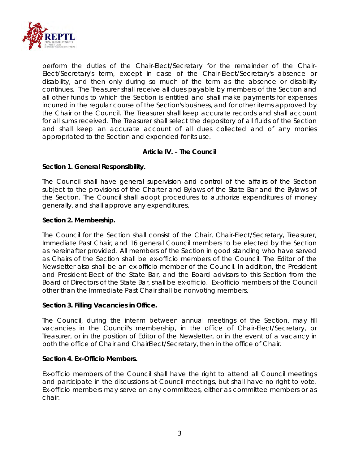

perform the duties of the Chair-Elect/Secretary for the remainder of the Chair-Elect/Secretary's term, except in case of the Chair-Elect/Secretary's absence or disability, and then only during so much of the term as the absence or disability continues. The Treasurer shall receive all dues payable by members of the Section and all other funds to which the Section is entitled and shall make payments for expenses incurred in the regular course of the Section's business, and for other items approved by the Chair or the Council. The Treasurer shall keep accurate records and shall account for all sums received. The Treasurer shall select the depository of all fluids of the Section and shall keep an accurate account of all dues collected and of any monies appropriated to the Section and expended for its use.

# **Article IV. – The Council**

# <span id="page-5-1"></span><span id="page-5-0"></span>**Section 1. General Responsibility.**

The Council shall have general supervision and control of the affairs of the Section subject to the provisions of the Charter and Bylaws of the State Bar and the Bylaws of the Section. The Council shall adopt procedures to authorize expenditures of money generally, and shall approve any expenditures.

#### <span id="page-5-2"></span>**Section 2. Membership.**

The Council for the Section shall consist of the Chair, Chair-Elect/Secretary, Treasurer, Immediate Past Chair, and 16 general Council members to be elected by the Section as hereinafter provided. All members of the Section in good standing who have served as Chairs of the Section shall be ex-officio members of the Council. The Editor of the Newsletter also shall be an ex-officio member of the Council. In addition, the President and President-Elect of the State Bar, and the Board advisors to this Section from the Board of Directors of the State Bar, shall be ex-officio. Ex-officio members of the Council other than the Immediate Past Chair shall be nonvoting members.

#### <span id="page-5-3"></span>**Section 3. Filling Vacancies in Office.**

The Council, during the interim between annual meetings of the Section, may fill vacancies in the Council's membership, in the office of Chair-Elect/Secretary, or Treasurer, or in the position of Editor of the Newsletter, or in the event of a vacancy in both the office of Chair and ChairElect/Secretary, then in the office of Chair.

#### <span id="page-5-4"></span>**Section 4. Ex-Officio Members.**

Ex-officio members of the Council shall have the right to attend all Council meetings and participate in the discussions at Council meetings, but shall have no right to vote. Ex-officio members may serve on any committees, either as committee members or as chair.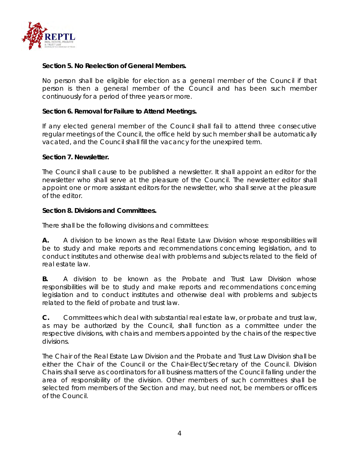

#### <span id="page-6-0"></span>**Section 5. No Reelection of General Members.**

No person shall be eligible for election as a general member of the Council if that person is then a general member of the Council and has been such member continuously for a period of three years or more.

#### <span id="page-6-1"></span>**Section 6. Removal for Failure to Attend Meetings.**

If any elected general member of the Council shall fail to attend three consecutive regular meetings of the Council, the office held by such member shall be automatically vacated, and the Council shall fill the vacancy for the unexpired term.

#### <span id="page-6-2"></span>**Section 7. Newsletter.**

The Council shall cause to be published a newsletter. It shall appoint an editor for the newsletter who shall serve at the pleasure of the Council. The newsletter editor shall appoint one or more assistant editors for the newsletter, who shall serve at the pleasure of the editor.

#### <span id="page-6-3"></span>**Section 8. Divisions and Committees.**

There shall be the following divisions and committees:

**A.** A division to be known as the Real Estate Law Division whose responsibilities will be to study and make reports and recommendations concerning legislation, and to conduct institutes and otherwise deal with problems and subjects related to the field of real estate law.

**B.** A division to be known as the Probate and Trust Law Division whose responsibilities will be to study and make reports and recommendations concerning legislation and to conduct institutes and otherwise deal with problems and subjects related to the field of probate and trust law.

**C.** Committees which deal with substantial real estate law, or probate and trust law, as may be authorized by the Council, shall function as a committee under the respective divisions, with chairs and members appointed by the chairs of the respective divisions.

The Chair of the Real Estate Law Division and the Probate and Trust Law Division shall be either the Chair of the Council or the Chair-Elect/Secretary of the Council. Division Chairs shall serve as coordinators for all business matters of the Council falling under the area of responsibility of the division. Other members of such committees shall be selected from members of the Section and may, but need not, be members or officers of the Council.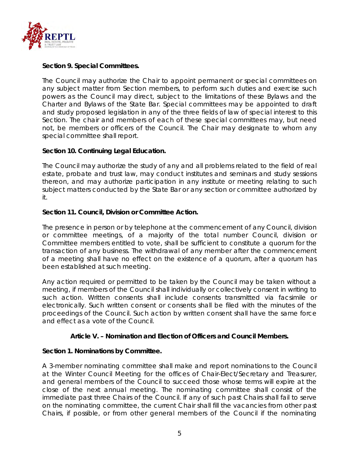

# <span id="page-7-0"></span>**Section 9. Special Committees.**

The Council may authorize the Chair to appoint permanent or special committees on any subject matter from Section members, to perform such duties and exercise such powers as the Council may direct, subject to the limitations of these Bylaws and the Charter and Bylaws of the State Bar. Special committees may be appointed to draft and study proposed legislation in any of the three fields of law of special interest to this Section. The chair and members of each of these special committees may, but need not, be members or officers of the Council. The Chair may designate to whom any special committee shall report.

# <span id="page-7-1"></span>**Section 10. Continuing Legal Education.**

The Council may authorize the study of any and all problems related to the field of real estate, probate and trust law, may conduct institutes and seminars and study sessions thereon, and may authorize participation in any institute or meeting relating to such subject matters conducted by the State Bar or any section or committee authorized by it.

# <span id="page-7-2"></span>**Section 11. Council, Division or Committee Action.**

The presence in person or by telephone at the commencement of any Council, division or committee meetings, of a majority of the total number Council, division or Committee members entitled to vote, shall be sufficient to constitute a quorum for the transaction of any business. The withdrawal of any member after the commencement of a meeting shall have no effect on the existence of a quorum, after a quorum has been established at such meeting.

Any action required or permitted to be taken by the Council may be taken without a meeting, if members of the Council shall individually or collectively consent in writing to such action. Written consents shall include consents transmitted via facsimile or electronically. Such written consent or consents shall be filed with the minutes of the proceedings of the Council. Such action by written consent shall have the same force and effect as a vote of the Council.

#### **Article V. – Nomination and Election of Officers and Council Members.**

#### <span id="page-7-4"></span><span id="page-7-3"></span>**Section 1. Nominations by Committee.**

A 3-member nominating committee shall make and report nominations to the Council at the Winter Council Meeting for the offices of Chair-Elect/Secretary and Treasurer, and general members of the Council to succeed those whose terms will expire at the close of the next annual meeting. The nominating committee shall consist of the immediate past three Chairs of the Council. If any of such past Chairs shall fail to serve on the nominating committee, the current Chair shall fill the vacancies from other past Chairs, if possible, or from other general members of the Council if the nominating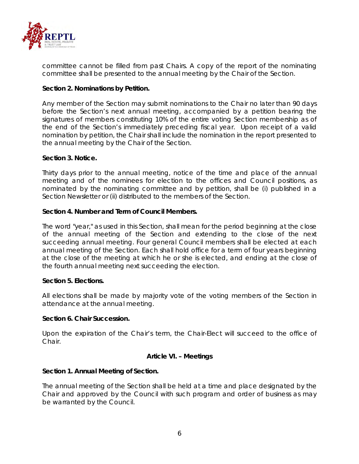

committee cannot be filled from past Chairs. A copy of the report of the nominating committee shall be presented to the annual meeting by the Chair of the Section.

# <span id="page-8-0"></span>**Section 2. Nominations by Petition.**

Any member of the Section may submit nominations to the Chair no later than 90 days before the Section's next annual meeting, accompanied by a petition bearing the signatures of members constituting 10% of the entire voting Section membership as of the end of the Section's immediately preceding fiscal year. Upon receipt of a valid nomination by petition, the Chair shall include the nomination in the report presented to the annual meeting by the Chair of the Section.

#### <span id="page-8-1"></span>**Section 3. Notice.**

Thirty days prior to the annual meeting, notice of the time and place of the annual meeting and of the nominees for election to the offices and Council positions, as nominated by the nominating committee and by petition, shall be (i) published in a Section Newsletter or (ii) distributed to the members of the Section.

# <span id="page-8-2"></span>**Section 4. Number and Term of Council Members.**

The word "year," as used in this Section, shall mean for the period beginning at the close of the annual meeting of the Section and extending to the close of the next succeeding annual meeting. Four general Council members shall be elected at each annual meeting of the Section. Each shall hold office for a term of four years beginning at the close of the meeting at which he or she is elected, and ending at the close of the fourth annual meeting next succeeding the election.

#### <span id="page-8-3"></span>**Section 5. Elections.**

All elections shall be made by majority vote of the voting members of the Section in attendance at the annual meeting.

#### <span id="page-8-4"></span>**Section 6. Chair Succession.**

Upon the expiration of the Chair's term, the Chair-Elect will succeed to the office of Chair.

#### **Article VI. – Meetings**

#### <span id="page-8-6"></span><span id="page-8-5"></span>**Section 1. Annual Meeting of Section.**

The annual meeting of the Section shall be held at a time and place designated by the Chair and approved by the Council with such program and order of business as may be warranted by the Council.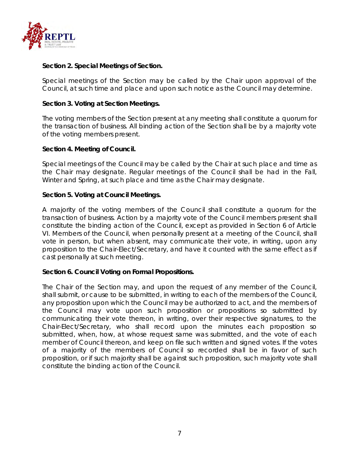

# <span id="page-9-0"></span>**Section 2. Special Meetings of Section.**

Special meetings of the Section may be called by the Chair upon approval of the Council, at such time and place and upon such notice as the Council may determine.

#### <span id="page-9-1"></span>**Section 3. Voting at Section Meetings.**

The voting members of the Section present at any meeting shall constitute a quorum for the transaction of business. All binding action of the Section shall be by a majority vote of the voting members present.

#### <span id="page-9-2"></span>**Section 4. Meeting of Council.**

Special meetings of the Council may be called by the Chair at such place and time as the Chair may designate. Regular meetings of the Council shall be had in the Fall, Winter and Spring, at such place and time as the Chair may designate.

#### <span id="page-9-3"></span>**Section 5. Voting at Council Meetings.**

A majority of the voting members of the Council shall constitute a quorum for the transaction of business. Action by a majority vote of the Council members present shall constitute the binding action of the Council, except as provided in Section 6 of Article VI. Members of the Council, when personally present at a meeting of the Council, shall vote in person, but when absent, may communicate their vote, in writing, upon any proposition to the Chair-Elect/Secretary, and have it counted with the same effect as if cast personally at such meeting.

#### <span id="page-9-4"></span>**Section 6. Council Voting on Formal Propositions.**

The Chair of the Section may, and upon the request of any member of the Council, shall submit, or cause to be submitted, in writing to each of the members of the Council, any proposition upon which the Council may be authorized to act, and the members of the Council may vote upon such proposition or propositions so submitted by communicating their vote thereon, in writing, over their respective signatures, to the Chair-Elect/Secretary, who shall record upon the minutes each proposition so submitted, when, how, at whose request same was submitted, and the vote of each member of Council thereon, and keep on file such written and signed votes. If the votes of a majority of the members of Council so recorded shall be in favor of such proposition, or if such majority shall be against such proposition, such majority vote shall constitute the binding action of the Council.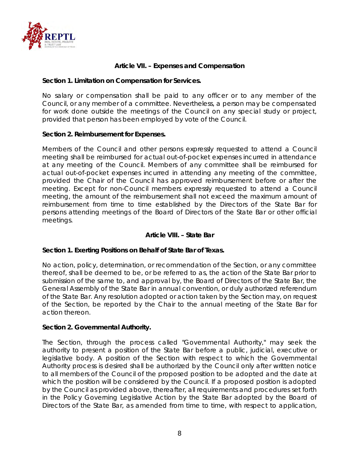

# **Article VII. – Expenses and Compensation**

#### <span id="page-10-1"></span><span id="page-10-0"></span>**Section 1. Limitation on Compensation for Services.**

No salary or compensation shall be paid to any officer or to any member of the Council, or any member of a committee. Nevertheless, a person may be compensated for work done outside the meetings of the Council on any special study or project, provided that person has been employed by vote of the Council.

#### <span id="page-10-2"></span>**Section 2. Reimbursement for Expenses.**

Members of the Council and other persons expressly requested to attend a Council meeting shall be reimbursed for actual out-of-pocket expenses incurred in attendance at any meeting of the Council. Members of any committee shall be reimbursed for actual out-of-pocket expenses incurred in attending any meeting of the committee, provided the Chair of the Council has approved reimbursement before or after the meeting. Except for non-Council members expressly requested to attend a Council meeting, the amount of the reimbursement shall not exceed the maximum amount of reimbursement from time to time established by the Directors of the State Bar for persons attending meetings of the Board of Directors of the State Bar or other official meetings.

#### **Article VIII. – State Bar**

#### <span id="page-10-4"></span><span id="page-10-3"></span>**Section 1. Exerting Positions on Behalf of State Bar of Texas.**

No action, policy, determination, or recommendation of the Section, or any committee thereof, shall be deemed to be, or be referred to as, the action of the State Bar prior to submission of the same to, and approval by, the Board of Directors of the State Bar, the General Assembly of the State Bar in annual convention, or duly authorized referendum of the State Bar. Any resolution adopted or action taken by the Section may, on request of the Section, be reported by the Chair to the annual meeting of the State Bar for action thereon.

#### <span id="page-10-5"></span>**Section 2. Governmental Authority.**

The Section, through the process called "Governmental Authority," may seek the authority to present a position of the State Bar before a public, judicial, executive or legislative body. A position of the Section with respect to which the Governmental Authority process is desired shall be authorized by the Council only after written notice to all members of the Council of the proposed position to be adopted and the date at which the position will be considered by the Council. If a proposed position is adopted by the Council as provided above, thereafter, all requirements and procedures set forth in the Policy Governing Legislative Action by the State Bar adopted by the Board of Directors of the State Bar, as amended from time to time, with respect to application,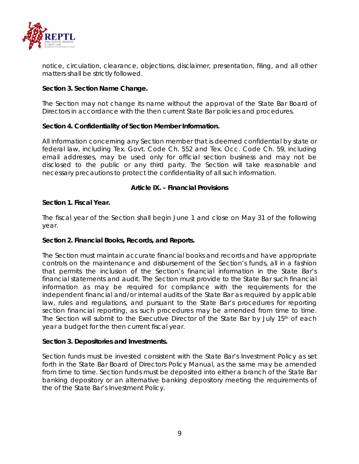

notice, circulation, clearance, objections, disclaimer, presentation, filing, and all other matters shall be strictly followed.

# <span id="page-11-0"></span>**Section 3. Section Name Change.**

The Section may not change its name without the approval of the State Bar Board of Directors in accordance with the then current State Bar policies and procedures.

#### <span id="page-11-1"></span>**Section 4. Confidentiality of Section Member Information.**

All information concerning any Section member that is deemed confidential by state or federal law, including Tex. Govt. Code Ch. 552 and Tex. Occ. Code Ch. 59, including email addresses, may be used only for official section business and may not be disclosed to the public or any third party. The Section will take reasonable and necessary precautions to protect the confidentiality of all such information.

# **Article IX. – Financial Provisions**

# <span id="page-11-3"></span><span id="page-11-2"></span>**Section 1. Fiscal Year.**

The fiscal year of the Section shall begin June 1 and close on May 31 of the following year.

#### <span id="page-11-4"></span>**Section 2. Financial Books, Records, and Reports.**

The Section must maintain accurate financial books and records and have appropriate controls on the maintenance and disbursement of the Section's funds, all in a fashion that permits the inclusion of the Section's financial information in the State Bar's financial statements and audit. The Section must provide to the State Bar such financial information as may be required for compliance with the requirements for the independent financial and/or internal audits of the State Bar as required by applicable law, rules and regulations, and pursuant to the State Bar's procedures for reporting section financial reporting, as such procedures may be amended from time to time. The Section will submit to the Executive Director of the State Bar by July 15<sup>th</sup> of each year a budget for the then current fiscal year.

#### <span id="page-11-5"></span>**Section 3. Depositories and Investments.**

Section funds must be invested consistent with the State Bar's Investment Policy as set forth in the State Bar Board of Directors Policy Manual, as the same may be amended from time to time. Section funds must be deposited into either a branch of the State Bar banking depository or an alternative banking depository meeting the requirements of the of the State Bar's Investment Policy.